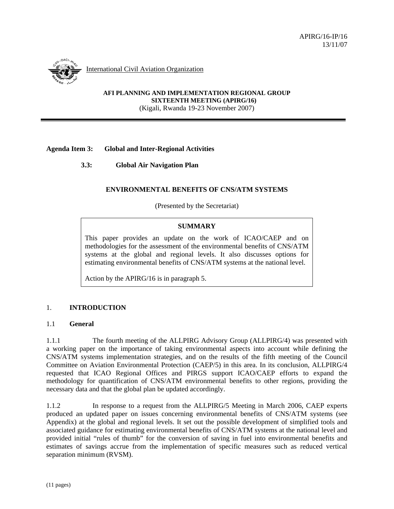

International Civil Aviation Organization

**AFI PLANNING AND IMPLEMENTATION REGIONAL GROUP SIXTEENTH MEETING (APIRG/16)**  (Kigali, Rwanda 19-23 November 2007)

# **Agenda Item 3: Global and Inter-Regional Activities**

**3.3: Global Air Navigation Plan** 

### **ENVIRONMENTAL BENEFITS OF CNS/ATM SYSTEMS**

(Presented by the Secretariat)

### **SUMMARY**

This paper provides an update on the work of ICAO/CAEP and on methodologies for the assessment of the environmental benefits of CNS/ATM systems at the global and regional levels. It also discusses options for estimating environmental benefits of CNS/ATM systems at the national level.

Action by the APIRG/16 is in paragraph 5.

# 1. **INTRODUCTION**

### 1.1 **General**

1.1.1 The fourth meeting of the ALLPIRG Advisory Group (ALLPIRG/4) was presented with a working paper on the importance of taking environmental aspects into account while defining the CNS/ATM systems implementation strategies, and on the results of the fifth meeting of the Council Committee on Aviation Environmental Protection (CAEP/5) in this area. In its conclusion, ALLPIRG/4 requested that ICAO Regional Offices and PIRGS support ICAO/CAEP efforts to expand the methodology for quantification of CNS/ATM environmental benefits to other regions, providing the necessary data and that the global plan be updated accordingly.

1.1.2 In response to a request from the ALLPIRG/5 Meeting in March 2006, CAEP experts produced an updated paper on issues concerning environmental benefits of CNS/ATM systems (see Appendix) at the global and regional levels. It set out the possible development of simplified tools and associated guidance for estimating environmental benefits of CNS/ATM systems at the national level and provided initial "rules of thumb" for the conversion of saving in fuel into environmental benefits and estimates of savings accrue from the implementation of specific measures such as reduced vertical separation minimum (RVSM).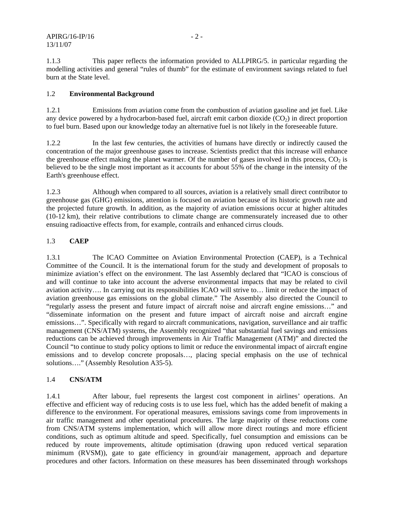1.1.3 This paper reflects the information provided to ALLPIRG/5. in particular regarding the modelling activities and general "rules of thumb" for the estimate of environment savings related to fuel burn at the State level.

## 1.2 **Environmental Background**

1.2.1 Emissions from aviation come from the combustion of aviation gasoline and jet fuel. Like any device powered by a hydrocarbon-based fuel, aircraft emit carbon dioxide  $(CO<sub>2</sub>)$  in direct proportion to fuel burn. Based upon our knowledge today an alternative fuel is not likely in the foreseeable future.

1.2.2 In the last few centuries, the activities of humans have directly or indirectly caused the concentration of the major greenhouse gases to increase. Scientists predict that this increase will enhance the greenhouse effect making the planet warmer. Of the number of gases involved in this process,  $CO<sub>2</sub>$  is believed to be the single most important as it accounts for about 55% of the change in the intensity of the Earth's greenhouse effect.

1.2.3 Although when compared to all sources, aviation is a relatively small direct contributor to greenhouse gas (GHG) emissions, attention is focused on aviation because of its historic growth rate and the projected future growth. In addition, as the majority of aviation emissions occur at higher altitudes (10-12 km), their relative contributions to climate change are commensurately increased due to other ensuing radioactive effects from, for example, contrails and enhanced cirrus clouds.

# 1.3 **CAEP**

1.3.1 The ICAO Committee on Aviation Environmental Protection (CAEP), is a Technical Committee of the Council. It is the international forum for the study and development of proposals to minimize aviation's effect on the environment. The last Assembly declared that "ICAO is conscious of and will continue to take into account the adverse environmental impacts that may be related to civil aviation activity…. In carrying out its responsibilities ICAO will strive to… limit or reduce the impact of aviation greenhouse gas emissions on the global climate." The Assembly also directed the Council to "regularly assess the present and future impact of aircraft noise and aircraft engine emissions…" and "disseminate information on the present and future impact of aircraft noise and aircraft engine emissions…". Specifically with regard to aircraft communications, navigation, surveillance and air traffic management (CNS/ATM) systems, the Assembly recognized "that substantial fuel savings and emissions reductions can be achieved through improvements in Air Traffic Management (ATM)" and directed the Council "to continue to study policy options to limit or reduce the environmental impact of aircraft engine emissions and to develop concrete proposals…, placing special emphasis on the use of technical solutions…." (Assembly Resolution A35-5).

### 1.4 **CNS/ATM**

1.4.1 After labour, fuel represents the largest cost component in airlines' operations. An effective and efficient way of reducing costs is to use less fuel, which has the added benefit of making a difference to the environment. For operational measures, emissions savings come from improvements in air traffic management and other operational procedures. The large majority of these reductions come from CNS/ATM systems implementation, which will allow more direct routings and more efficient conditions, such as optimum altitude and speed. Specifically, fuel consumption and emissions can be reduced by route improvements, altitude optimisation (drawing upon reduced vertical separation minimum (RVSM)), gate to gate efficiency in ground/air management, approach and departure procedures and other factors. Information on these measures has been disseminated through workshops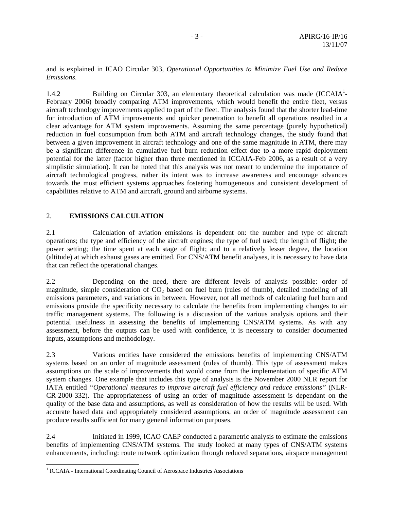and is explained in ICAO Circular 303, *Operational Opportunities to Minimize Fuel Use and Reduce Emissions*.

1.4.2 Building on Circular 303, an elementary theoretical calculation was made (ICCAIA<sup>1</sup>-February 2006) broadly comparing ATM improvements, which would benefit the entire fleet, versus aircraft technology improvements applied to part of the fleet. The analysis found that the shorter lead-time for introduction of ATM improvements and quicker penetration to benefit all operations resulted in a clear advantage for ATM system improvements. Assuming the same percentage (purely hypothetical) reduction in fuel consumption from both ATM and aircraft technology changes, the study found that between a given improvement in aircraft technology and one of the same magnitude in ATM, there may be a significant difference in cumulative fuel burn reduction effect due to a more rapid deployment potential for the latter (factor higher than three mentioned in ICCAIA-Feb 2006, as a result of a very simplistic simulation). It can be noted that this analysis was not meant to undermine the importance of aircraft technological progress, rather its intent was to increase awareness and encourage advances towards the most efficient systems approaches fostering homogeneous and consistent development of capabilities relative to ATM and aircraft, ground and airborne systems.

#### 2. **EMISSIONS CALCULATION**

2.1 Calculation of aviation emissions is dependent on: the number and type of aircraft operations; the type and efficiency of the aircraft engines; the type of fuel used; the length of flight; the power setting; the time spent at each stage of flight; and to a relatively lesser degree, the location (altitude) at which exhaust gases are emitted. For CNS/ATM benefit analyses, it is necessary to have data that can reflect the operational changes.

2.2 Depending on the need, there are different levels of analysis possible: order of magnitude, simple consideration of  $CO<sub>2</sub>$  based on fuel burn (rules of thumb), detailed modeling of all emissions parameters, and variations in between. However, not all methods of calculating fuel burn and emissions provide the specificity necessary to calculate the benefits from implementing changes to air traffic management systems. The following is a discussion of the various analysis options and their potential usefulness in assessing the benefits of implementing CNS/ATM systems. As with any assessment, before the outputs can be used with confidence, it is necessary to consider documented inputs, assumptions and methodology.

2.3 Various entities have considered the emissions benefits of implementing CNS/ATM systems based on an order of magnitude assessment (rules of thumb). This type of assessment makes assumptions on the scale of improvements that would come from the implementation of specific ATM system changes. One example that includes this type of analysis is the November 2000 NLR report for IATA entitled *"Operational measures to improve aircraft fuel efficiency and reduce emissions"* (NLR-CR-2000-332). The appropriateness of using an order of magnitude assessment is dependant on the quality of the base data and assumptions, as well as consideration of how the results will be used. With accurate based data and appropriately considered assumptions, an order of magnitude assessment can produce results sufficient for many general information purposes.

2.4 Initiated in 1999, ICAO CAEP conducted a parametric analysis to estimate the emissions benefits of implementing CNS/ATM systems. The study looked at many types of CNS/ATM systems enhancements, including: route network optimization through reduced separations, airspace management

l <sup>1</sup> ICCAIA - International Coordinating Council of Aerospace Industries Associations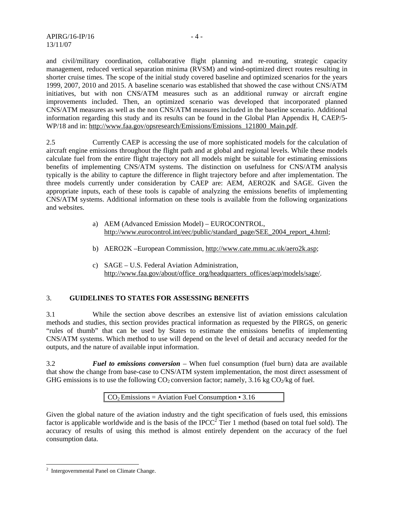and civil/military coordination, collaborative flight planning and re-routing, strategic capacity management, reduced vertical separation minima (RVSM) and wind-optimized direct routes resulting in shorter cruise times. The scope of the initial study covered baseline and optimized scenarios for the years 1999, 2007, 2010 and 2015. A baseline scenario was established that showed the case without CNS/ATM initiatives, but with non CNS/ATM measures such as an additional runway or aircraft engine improvements included. Then, an optimized scenario was developed that incorporated planned CNS/ATM measures as well as the non CNS/ATM measures included in the baseline scenario. Additional information regarding this study and its results can be found in the Global Plan Appendix H, CAEP/5- WP/18 and in: http://www.faa.gov/opsresearch/Emissions/Emissions\_121800\_Main.pdf.

2.5 Currently CAEP is accessing the use of more sophisticated models for the calculation of aircraft engine emissions throughout the flight path and at global and regional levels. While these models calculate fuel from the entire flight trajectory not all models might be suitable for estimating emissions benefits of implementing CNS/ATM systems. The distinction on usefulness for CNS/ATM analysis typically is the ability to capture the difference in flight trajectory before and after implementation. The three models currently under consideration by CAEP are: AEM, AERO2K and SAGE. Given the appropriate inputs, each of these tools is capable of analyzing the emissions benefits of implementing CNS/ATM systems. Additional information on these tools is available from the following organizations and websites.

- a) AEM (Advanced Emission Model) EUROCONTROL, http://www.eurocontrol.int/eec/public/standard\_page/SEE\_2004\_report\_4.html;
- b) AERO2K –European Commission, http://www.cate.mmu.ac.uk/aero2k.asp;
- c) SAGE U.S. Federal Aviation Administration, http://www.faa.gov/about/office\_org/headquarters\_offices/aep/models/sage/.

# 3. **GUIDELINES TO STATES FOR ASSESSING BENEFITS**

3.1 While the section above describes an extensive list of aviation emissions calculation methods and studies, this section provides practical information as requested by the PIRGS, on generic "rules of thumb" that can be used by States to estimate the emissions benefits of implementing CNS/ATM systems. Which method to use will depend on the level of detail and accuracy needed for the outputs, and the nature of available input information.

3.2 *Fuel to emissions conversion* – When fuel consumption (fuel burn) data are available that show the change from base-case to CNS/ATM system implementation, the most direct assessment of GHG emissions is to use the following  $CO_2$  conversion factor; namely, 3.16 kg  $CO_2$ /kg of fuel.

 $CO<sub>2</sub> Emissions = Aviation$  Fuel Consumption • 3.16

Given the global nature of the aviation industry and the tight specification of fuels used, this emissions factor is applicable worldwide and is the basis of the IPCC<sup>2</sup> Tier 1 method (based on total fuel sold). The accuracy of results of using this method is almost entirely dependent on the accuracy of the fuel consumption data.

 2 Intergovernmental Panel on Climate Change.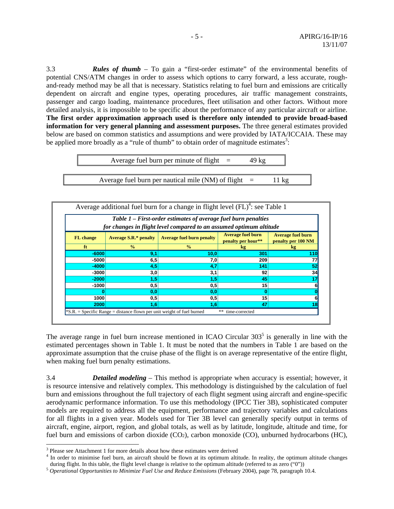3.3 *Rules of thumb* – To gain a "first-order estimate" of the environmental benefits of potential CNS/ATM changes in order to assess which options to carry forward, a less accurate, roughand-ready method may be all that is necessary. Statistics relating to fuel burn and emissions are critically dependent on aircraft and engine types, operating procedures, air traffic management constraints, passenger and cargo loading, maintenance procedures, fleet utilisation and other factors. Without more detailed analysis, it is impossible to be specific about the performance of any particular aircraft or airline. **The first order approximation approach used is therefore only intended to provide broad-based information for very general planning and assessment purposes.** The three general estimates provided below are based on common statistics and assumptions and were provided by IATA/ICCAIA. These may be applied more broadly as a "rule of thumb" to obtain order of magnitude estimates<sup>3</sup>:



| Average fuel burn per nautical mile (NM) of flight $=$ |  | $11 \text{ kg}$ |
|--------------------------------------------------------|--|-----------------|
|--------------------------------------------------------|--|-----------------|

| Table 1 – First-order estimates of average fuel burn penalties<br>for changes in flight level compared to an assumed optimum altitude |                              |                                  |                                                |                                                |
|---------------------------------------------------------------------------------------------------------------------------------------|------------------------------|----------------------------------|------------------------------------------------|------------------------------------------------|
| <b>FL</b> change                                                                                                                      | <b>Average S.R.*</b> penalty | <b>Average fuel burn penalty</b> | <b>Average fuel burn</b><br>penalty per hour** | <b>Average fuel burn</b><br>penalty per 100 NM |
| ft                                                                                                                                    | $\frac{0}{2}$                | $\frac{0}{0}$                    | kg                                             | kg                                             |
| $-6000$                                                                                                                               | 9.1                          | 10,0                             | 301                                            | 110                                            |
| $-5000$                                                                                                                               | 6,5                          | 7,0                              | 209                                            | 77                                             |
| $-4000$                                                                                                                               | 4,5                          | 4,7                              | 141                                            | 52                                             |
| $-3000$                                                                                                                               | 3,0                          | 3,1                              | 92                                             | 34                                             |
| $-2000$                                                                                                                               | 1,5                          | 1,5                              | 45                                             | 17                                             |
| $-1000$                                                                                                                               | 0,5                          | 0,5                              | 15 <sup>1</sup>                                |                                                |
|                                                                                                                                       | 0,0                          | 0,0                              | 0                                              |                                                |
| 1000                                                                                                                                  | 0,5                          | 0,5                              | 15 <sup>1</sup>                                |                                                |
| 2000                                                                                                                                  | 1.6                          | 1,6                              | 47                                             | 18                                             |

The average range in fuel burn increase mentioned in ICAO Circular  $303<sup>5</sup>$  is generally in line with the estimated percentages shown in Table 1. It must be noted that the numbers in Table 1 are based on the approximate assumption that the cruise phase of the flight is on average representative of the entire flight, when making fuel burn penalty estimations.

3.4 *Detailed modeling* – This method is appropriate when accuracy is essential; however, it is resource intensive and relatively complex. This methodology is distinguished by the calculation of fuel burn and emissions throughout the full trajectory of each flight segment using aircraft and engine-specific aerodynamic performance information. To use this methodology (IPCC Tier 3B), sophisticated computer models are required to address all the equipment, performance and trajectory variables and calculations for all flights in a given year. Models used for Tier 3B level can generally specify output in terms of aircraft, engine, airport, region, and global totals, as well as by latitude, longitude, altitude and time, for fuel burn and emissions of carbon dioxide (CO2), carbon monoxide (CO), unburned hydrocarbons (HC),

l

<sup>&</sup>lt;sup>3</sup> Please see Attachment 1 for more details about how these estimates were derived

<sup>&</sup>lt;sup>4</sup> In order to minimise fuel burn, an aircraft should be flown at its optimum altitude. In reality, the optimum altitude changes during flight. In this table, the flight level change is relative to the optimum altitude (referred to as zero  $(°0")$ )<br>5 Operational Opportunities to Minimize Fuel Use and Reduce Emissions (February 2004), page 78, paragr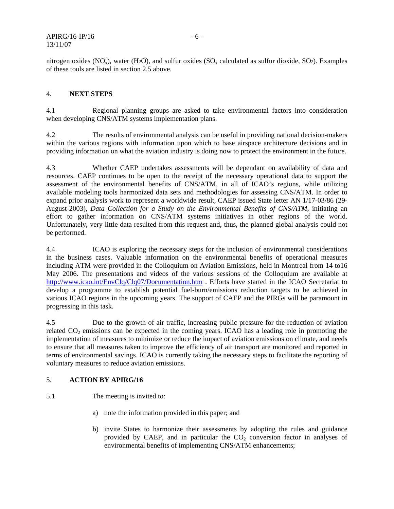nitrogen oxides (NO<sub>x</sub>), water (H<sub>2</sub>O), and sulfur oxides (SO<sub>x</sub> calculated as sulfur dioxide, SO<sub>2</sub>). Examples of these tools are listed in section 2.5 above.

## 4. **NEXT STEPS**

4.1 Regional planning groups are asked to take environmental factors into consideration when developing CNS/ATM systems implementation plans.

4.2 The results of environmental analysis can be useful in providing national decision-makers within the various regions with information upon which to base airspace architecture decisions and in providing information on what the aviation industry is doing now to protect the environment in the future.

4.3 Whether CAEP undertakes assessments will be dependant on availability of data and resources. CAEP continues to be open to the receipt of the necessary operational data to support the assessment of the environmental benefits of CNS/ATM, in all of ICAO's regions, while utilizing available modeling tools harmonized data sets and methodologies for assessing CNS/ATM. In order to expand prior analysis work to represent a worldwide result, CAEP issued State letter AN 1/17-03/86 (29- August-2003), *Data Collection for a Study on the Environmental Benefits of CNS/ATM*, initiating an effort to gather information on CNS/ATM systems initiatives in other regions of the world. Unfortunately, very little data resulted from this request and, thus, the planned global analysis could not be performed.

4.4 ICAO is exploring the necessary steps for the inclusion of environmental considerations in the business cases. Valuable information on the environmental benefits of operational measures including ATM were provided in the Colloquium on Aviation Emissions, held in Montreal from 14 to16 May 2006. The presentations and videos of the various sessions of the Colloquium are available at http://www.icao.int/EnvClq/Clq07/Documentation.htm . Efforts have started in the ICAO Secretariat to develop a programme to establish potential fuel-burn/emissions reduction targets to be achieved in various ICAO regions in the upcoming years. The support of CAEP and the PIRGs will be paramount in progressing in this task.

4.5 Due to the growth of air traffic, increasing public pressure for the reduction of aviation related  $CO<sub>2</sub>$  emissions can be expected in the coming years. ICAO has a leading role in promoting the implementation of measures to minimize or reduce the impact of aviation emissions on climate, and needs to ensure that all measures taken to improve the efficiency of air transport are monitored and reported in terms of environmental savings. ICAO is currently taking the necessary steps to facilitate the reporting of voluntary measures to reduce aviation emissions.

## 5. **ACTION BY APIRG/16**

- 5.1 The meeting is invited to:
	- a) note the information provided in this paper; and
	- b) invite States to harmonize their assessments by adopting the rules and guidance provided by CAEP, and in particular the  $CO<sub>2</sub>$  conversion factor in analyses of environmental benefits of implementing CNS/ATM enhancements;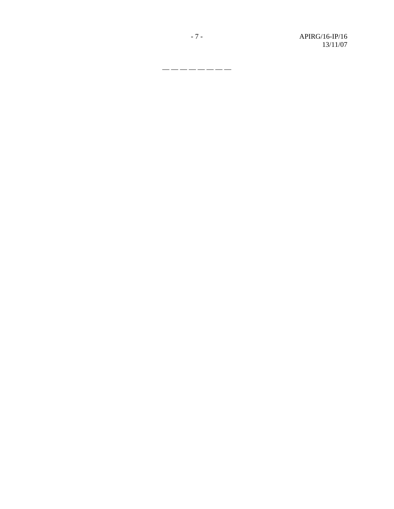- 7 -

— — — — — — — —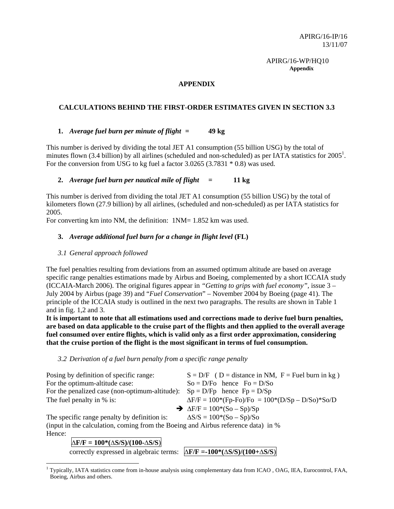#### APIRG/16-WP/HQ10 **Appendix**

#### **APPENDIX**

#### **CALCULATIONS BEHIND THE FIRST-ORDER ESTIMATES GIVEN IN SECTION 3.3**

#### **1.** *Average fuel burn per minute of flight*  $=$  49 kg

This number is derived by dividing the total JET A1 consumption (55 billion USG) by the total of minutes flown (3.4 billion) by all airlines (scheduled and non-scheduled) as per IATA statistics for  $2005<sup>1</sup>$ . For the conversion from USG to kg fuel a factor 3.0265 (3.7831  $*$  0.8) was used.

### **2.** *Average fuel burn per nautical mile of flight* **= 11 kg**

This number is derived from dividing the total JET A1 consumption (55 billion USG) by the total of kilometers flown (27.9 billion) by all airlines, (scheduled and non-scheduled) as per IATA statistics for 2005.

For converting km into NM, the definition:  $1NM = 1.852$  km was used.

#### **3.** *Average additional fuel burn for a change in flight level* **(FL)**

#### *3.1 General approach followed*

The fuel penalties resulting from deviations from an assumed optimum altitude are based on average specific range penalties estimations made by Airbus and Boeing, complemented by a short ICCAIA study (ICCAIA-March 2006). The original figures appear in *"Getting to grips with fuel economy",* issue 3 – July 2004 by Airbus (page 39) and "*Fuel Conservation*" – November 2004 by Boeing (page 41). The principle of the ICCAIA study is outlined in the next two paragraphs. The results are shown in Table 1 and in fig. 1,2 and 3.

**It is important to note that all estimations used and corrections made to derive fuel burn penalties, are based on data applicable to the cruise part of the flights and then applied to the overall average fuel consumed over entire flights, which is valid only as a first order approximation, considering that the cruise portion of the flight is the most significant in terms of fuel consumption.** 

*3.2 Derivation of a fuel burn penalty from a specific range penalty* 

| Posing by definition of specific range:                                           | $S = D/F$ (D = distance in NM, F = Fuel burn in kg)    |
|-----------------------------------------------------------------------------------|--------------------------------------------------------|
| For the optimum-altitude case:                                                    | $So = D/Fo$ hence $Fo = D/So$                          |
| For the penalized case (non-optimum-altitude):                                    | $Sp = D/Fp$ hence $Fp = D/Sp$                          |
| The fuel penalty in % is:                                                         | $\Delta F/F = 100*(Fp-Fo)/Fo = 100*(D/Sp - D/So)*So/D$ |
|                                                                                   | $\rightarrow \Delta F/F = 100*(So - Sp)/Sp$            |
| The specific range penalty by definition is:                                      | $\Delta S/S = 100*(So - Sp)/So$                        |
| (input in the calculation, coming from the Boeing and Airbus reference data) in % |                                                        |
| Hence:                                                                            |                                                        |
| $\Delta F/F = 100*(\Delta S/S)/(100-\Delta S/S)$                                  |                                                        |

l

correctly expressed in algebraic terms: Δ**F/F =-100\*(**Δ**S/S)/(100+**Δ**S/S**)

<sup>&</sup>lt;sup>1</sup> Typically, IATA statistics come from in-house analysis using complementary data from ICAO, OAG, IEA, Eurocontrol, FAA, Boeing, Airbus and others.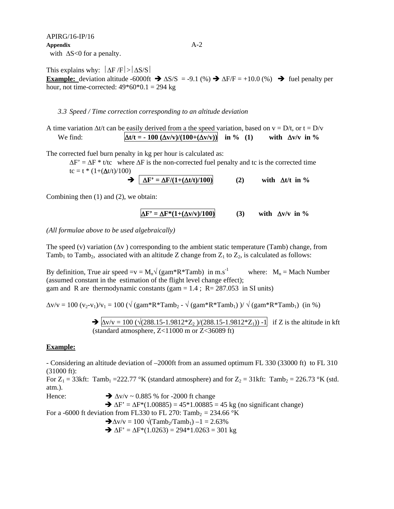This explains why:  $|\Delta F/F| > |\Delta S/S|$ **Example:** deviation altitude -6000ft  $\rightarrow \Delta S/S = -9.1$  (%)  $\rightarrow \Delta F/F = +10.0$  (%)  $\rightarrow$  fuel penalty per hour, not time-corrected:  $49*60*0.1 = 294$  kg

*3.3 Speed / Time correction corresponding to an altitude deviation* 

A time variation  $\Delta t/t$  can be easily derived from a the speed variation, based on  $v = D/t$ , or  $t = D/v$ We find:  $\Delta t/t = -100 \left( \frac{\Delta v}{v} \right) / (100 + \left( \frac{\Delta v}{v} \right)) \quad \text{in} \quad \% \quad (1) \quad \text{with} \quad \Delta v/v \quad \text{in} \quad \%$ 

The corrected fuel burn penalty in kg per hour is calculated as:

 $\Delta F = \Delta F * t/c$  where  $\Delta F$  is the non-corrected fuel penalty and tc is the corrected time tc = t \*  $(1+(\Delta t/t)/100)$ 

 $\Delta F' = \Delta F/(1+(\Delta t/t)/100)$  (2) with  $\Delta t/t$  in %

Combining then (1) and (2), we obtain:

$$
\Delta F' = \Delta F^*(1 + (\Delta v/v)/100) \qquad (3) \qquad \text{with} \quad \Delta v/v \text{ in } \%
$$

*(All formulae above to be used algebraically)* 

The speed (v) variation  $(\Delta v)$  corresponding to the ambient static temperature (Tamb) change, from Tamb<sub>1</sub> to Tamb<sub>2</sub>, associated with an altitude Z change from  $Z_1$  to  $Z_2$ , is calculated as follows:

By definition, True air speed =v =  $M_n \sqrt{(gam^*R^*Tamb)}$  in m.s<sup>-1</sup> where:  $M_n = Mach$  Number (assumed constant in the estimation of the flight level change effect); gam and R are thermodynamic constants (gam =  $1.4$ ; R= 287.053 in SI units)

 $\Delta v/v = 100 (v_2 - v_1)/v_1 = 100 (\sqrt{(\text{gam*R*Tamb}_2 - \sqrt{(\text{gam*R*Tamb}_1)})/\sqrt{(\text{gam*R*Tamb}_1)}$  (in %)

 $\rightarrow \Delta v/v = 100 \left(\sqrt{(288.15-1.9812^*Z_2)/(288.15-1.9812^*Z_1)}\right)$  if Z is the altitude in kft (standard atmosphere,  $Z$ <11000 m or  $Z$ <36089 ft)

# **Example:**

- Considering an altitude deviation of –2000ft from an assumed optimum FL 330 (33000 ft) to FL 310 (31000 ft):

For  $Z_1 = 33$ kft: Tamb<sub>1</sub> = 222.77 °K (standard atmosphere) and for  $Z_2 = 31$ kft: Tamb<sub>2</sub> = 226.73 °K (std. atm.).

Hence:  $\rightarrow \Delta v/v \sim 0.885 \%$  for -2000 ft change

 $\rightarrow \Delta F' = \Delta F^*(1.00885) = 45*1.00885 = 45 \text{ kg}$  (no significant change)

For a -6000 ft deviation from FL330 to FL 270: Tamb<sub>2</sub> = 234.66 °K

 $\rightarrow \Delta v/v = 100 \sqrt{\text{Tamb}_2/\text{Tamb}_1} - 1 = 2.63\%$ 

 $\rightarrow \Delta F' = \Delta F^*(1.0263) = 294*1.0263 = 301 \text{ kg}$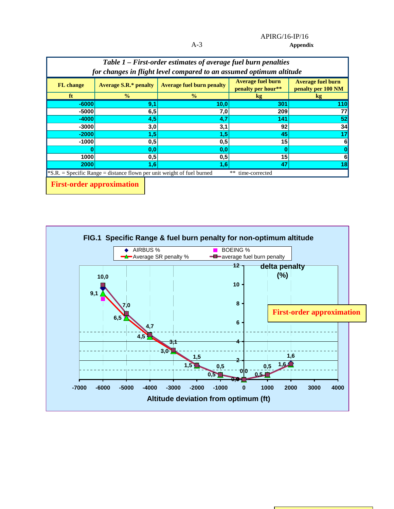|  | ۰.<br>٠<br>× |
|--|--------------|

| $A-3$<br>. <i>.</i> | <b>Appendix</b> |
|---------------------|-----------------|
|---------------------|-----------------|

| Table 1 – First-order estimates of average fuel burn penalties<br>for changes in flight level compared to an assumed optimum altitude |                              |                                  |                                                |                                                |
|---------------------------------------------------------------------------------------------------------------------------------------|------------------------------|----------------------------------|------------------------------------------------|------------------------------------------------|
| <b>FL</b> change                                                                                                                      | <b>Average S.R.*</b> penalty | <b>Average fuel burn penalty</b> | <b>Average fuel burn</b><br>penalty per hour** | <b>Average fuel burn</b><br>penalty per 100 NM |
| ft                                                                                                                                    | $\frac{0}{0}$                | $\frac{0}{0}$                    | <b>kg</b>                                      | kg <sub>1</sub>                                |
| $-6000$                                                                                                                               | 9,1                          | 10,0                             | 301                                            | 110                                            |
| $-5000$                                                                                                                               | 6,5                          | 7,0                              | 209                                            | 77                                             |
| $-4000$                                                                                                                               | 4,5                          | 4,7                              | 141                                            | 52                                             |
| $-3000$                                                                                                                               | 3,0                          | 3,1                              | 92                                             | 34                                             |
| $-2000$                                                                                                                               | 1,5                          | 1,5                              | 45                                             | 17                                             |
| $-1000$                                                                                                                               | 0,5                          | 0,5                              | 15                                             |                                                |
|                                                                                                                                       | 0,0                          | 0,0                              |                                                |                                                |
| 1000                                                                                                                                  | 0,5                          | 0,5                              | 15                                             | 6                                              |
| 2000                                                                                                                                  | 1,6                          | 1,6                              | 47                                             | 18                                             |
| $\text{*}S.R.$ = Specific Range = distance flown per unit weight of fuel burned<br>** time-corrected                                  |                              |                                  |                                                |                                                |
| <b>TRansactused and the communication of the set</b>                                                                                  |                              |                                  |                                                |                                                |

**First-order approximation**